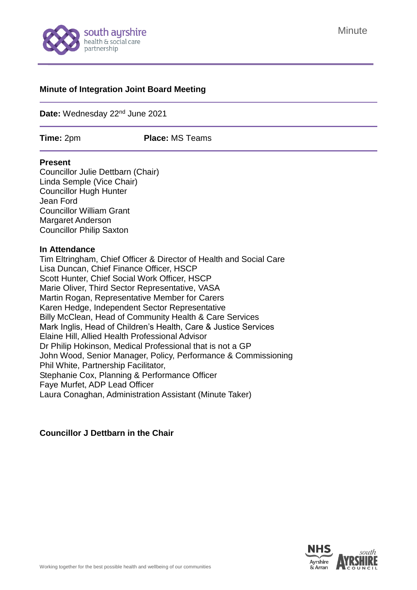

#### **Minute of Integration Joint Board Meeting**

**Date:** Wednesday 22nd June 2021

**Time:** 2pm **Place:** MS Teams

#### **Present**

Councillor Julie Dettbarn (Chair) Linda Semple (Vice Chair) Councillor Hugh Hunter Jean Ford Councillor William Grant Margaret Anderson Councillor Philip Saxton

#### **In Attendance**

Tim Eltringham, Chief Officer & Director of Health and Social Care Lisa Duncan, Chief Finance Officer, HSCP Scott Hunter, Chief Social Work Officer, HSCP Marie Oliver, Third Sector Representative, VASA Martin Rogan, Representative Member for Carers Karen Hedge, Independent Sector Representative Billy McClean, Head of Community Health & Care Services Mark Inglis, Head of Children's Health, Care & Justice Services Elaine Hill, Allied Health Professional Advisor Dr Philip Hokinson, Medical Professional that is not a GP John Wood, Senior Manager, Policy, Performance & Commissioning Phil White, Partnership Facilitator, Stephanie Cox, Planning & Performance Officer Faye Murfet, ADP Lead Officer Laura Conaghan, Administration Assistant (Minute Taker)

# **Councillor J Dettbarn in the Chair**

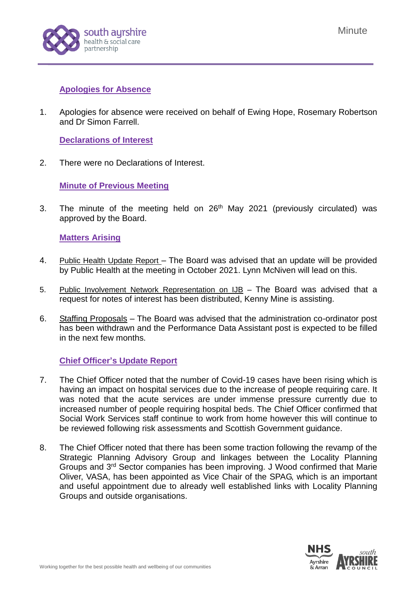

# **Apologies for Absence**

1. Apologies for absence were received on behalf of Ewing Hope, Rosemary Robertson and Dr Simon Farrell.

**Declarations of Interest**

2. There were no Declarations of Interest.

**Minute of Previous Meeting**

3. The minute of the meeting held on  $26<sup>th</sup>$  May 2021 [\(previously circulated\)](https://www.south-ayrshire.gov.uk/health-social-care-partnership/documents/item%203%20-%20ijb%20minute%2025.11.20%20ijb%202020%2012%2016.pdf) was approved by the Board.

# **Matters Arising**

- 4. Public Health Update Report The Board was advised that an update will be provided by Public Health at the meeting in October 2021. Lynn McNiven will lead on this.
- 5. Public Involvement Network Representation on IJB The Board was advised that a request for notes of interest has been distributed, Kenny Mine is assisting.
- 6. Staffing Proposals The Board was advised that the administration co-ordinator post has been withdrawn and the Performance Data Assistant post is expected to be filled in the next few months.

# **Chief Officer's Update Report**

- 7. The Chief Officer noted that the number of Covid-19 cases have been rising which is having an impact on hospital services due to the increase of people requiring care. It was noted that the acute services are under immense pressure currently due to increased number of people requiring hospital beds. The Chief Officer confirmed that Social Work Services staff continue to work from home however this will continue to be reviewed following risk assessments and Scottish Government guidance.
- 8. The Chief Officer noted that there has been some traction following the revamp of the Strategic Planning Advisory Group and linkages between the Locality Planning Groups and 3<sup>rd</sup> Sector companies has been improving. J Wood confirmed that Marie Oliver, VASA, has been appointed as Vice Chair of the SPAG, which is an important and useful appointment due to already well established links with Locality Planning Groups and outside organisations.

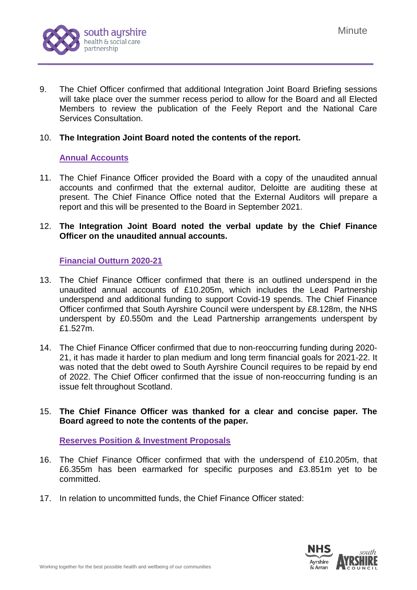

9. The Chief Officer confirmed that additional Integration Joint Board Briefing sessions will take place over the summer recess period to allow for the Board and all Elected Members to review the publication of the Feely Report and the National Care Services Consultation.

### 10. **The Integration Joint Board noted the contents of the report.**

# **Annual Accounts**

11. The Chief Finance Officer provided the Board with a copy of the unaudited annual accounts and confirmed that the external auditor, Deloitte are auditing these at present. The Chief Finance Office noted that the External Auditors will prepare a report and this will be presented to the Board in September 2021.

### 12. **The Integration Joint Board noted the verbal update by the Chief Finance Officer on the unaudited annual accounts.**

# **Financial Outturn 2020-21**

- 13. The Chief Finance Officer confirmed that there is an outlined underspend in the unaudited annual accounts of £10.205m, which includes the Lead Partnership underspend and additional funding to support Covid-19 spends. The Chief Finance Officer confirmed that South Ayrshire Council were underspent by £8.128m, the NHS underspent by £0.550m and the Lead Partnership arrangements underspent by £1.527m.
- 14. The Chief Finance Officer confirmed that due to non-reoccurring funding during 2020- 21, it has made it harder to plan medium and long term financial goals for 2021-22. It was noted that the debt owed to South Ayrshire Council requires to be repaid by end of 2022. The Chief Officer confirmed that the issue of non-reoccurring funding is an issue felt throughout Scotland.

#### 15. **The Chief Finance Officer was thanked for a clear and concise paper. The Board agreed to note the contents of the paper.**

#### **Reserves Position & Investment Proposals**

- 16. The Chief Finance Officer confirmed that with the underspend of £10.205m, that £6.355m has been earmarked for specific purposes and £3.851m yet to be committed.
- 17. In relation to uncommitted funds, the Chief Finance Officer stated:

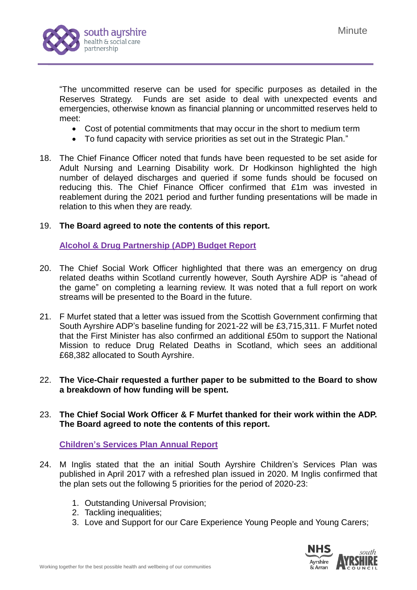

"The uncommitted reserve can be used for specific purposes as detailed in the Reserves Strategy. Funds are set aside to deal with unexpected events and emergencies, otherwise known as financial planning or uncommitted reserves held to meet:

- Cost of potential commitments that may occur in the short to medium term
- To fund capacity with service priorities as set out in the Strategic Plan."
- 18. The Chief Finance Officer noted that funds have been requested to be set aside for Adult Nursing and Learning Disability work. Dr Hodkinson highlighted the high number of delayed discharges and queried if some funds should be focused on reducing this. The Chief Finance Officer confirmed that £1m was invested in reablement during the 2021 period and further funding presentations will be made in relation to this when they are ready.

#### 19. **The Board agreed to note the contents of this report.**

#### **Alcohol & Drug Partnership (ADP) Budget Report**

- 20. The Chief Social Work Officer highlighted that there was an emergency on drug related deaths within Scotland currently however, South Ayrshire ADP is "ahead of the game" on completing a learning review. It was noted that a full report on work streams will be presented to the Board in the future.
- 21. F Murfet stated that a letter was issued from the Scottish Government confirming that South Ayrshire ADP's baseline funding for 2021-22 will be £3,715,311. F Murfet noted that the First Minister has also confirmed an additional £50m to support the National Mission to reduce Drug Related Deaths in Scotland, which sees an additional £68,382 allocated to South Ayrshire.
- 22. **The Vice-Chair requested a further paper to be submitted to the Board to show a breakdown of how funding will be spent.**
- 23. **The Chief Social Work Officer & F Murfet thanked for their work within the ADP. The Board agreed to note the contents of this report.**

#### **Children's Services Plan Annual Report**

- 24. M Inglis stated that the an initial South Ayrshire Children's Services Plan was published in April 2017 with a refreshed plan issued in 2020. M Inglis confirmed that the plan sets out the following 5 priorities for the period of 2020-23:
	- 1. Outstanding Universal Provision;
	- 2. Tackling inequalities:
	- 3. Love and Support for our Care Experience Young People and Young Carers;

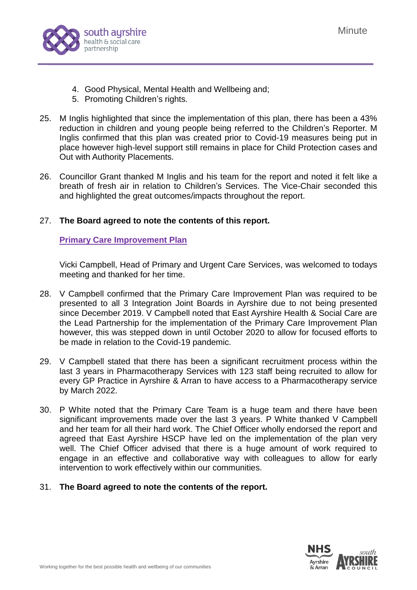

- 4. Good Physical, Mental Health and Wellbeing and;
- 5. Promoting Children's rights.
- 25. M Inglis highlighted that since the implementation of this plan, there has been a 43% reduction in children and young people being referred to the Children's Reporter. M Inglis confirmed that this plan was created prior to Covid-19 measures being put in place however high-level support still remains in place for Child Protection cases and Out with Authority Placements.
- 26. Councillor Grant thanked M Inglis and his team for the report and noted it felt like a breath of fresh air in relation to Children's Services. The Vice-Chair seconded this and highlighted the great outcomes/impacts throughout the report.

# 27. **The Board agreed to note the contents of this report.**

# **Primary Care Improvement Plan**

Vicki Campbell, Head of Primary and Urgent Care Services, was welcomed to todays meeting and thanked for her time.

- 28. V Campbell confirmed that the Primary Care Improvement Plan was required to be presented to all 3 Integration Joint Boards in Ayrshire due to not being presented since December 2019. V Campbell noted that East Ayrshire Health & Social Care are the Lead Partnership for the implementation of the Primary Care Improvement Plan however, this was stepped down in until October 2020 to allow for focused efforts to be made in relation to the Covid-19 pandemic.
- 29. V Campbell stated that there has been a significant recruitment process within the last 3 years in Pharmacotherapy Services with 123 staff being recruited to allow for every GP Practice in Ayrshire & Arran to have access to a Pharmacotherapy service by March 2022.
- 30. P White noted that the Primary Care Team is a huge team and there have been significant improvements made over the last 3 years. P White thanked V Campbell and her team for all their hard work. The Chief Officer wholly endorsed the report and agreed that East Ayrshire HSCP have led on the implementation of the plan very well. The Chief Officer advised that there is a huge amount of work required to engage in an effective and collaborative way with colleagues to allow for early intervention to work effectively within our communities.
- 31. **The Board agreed to note the contents of the report.**